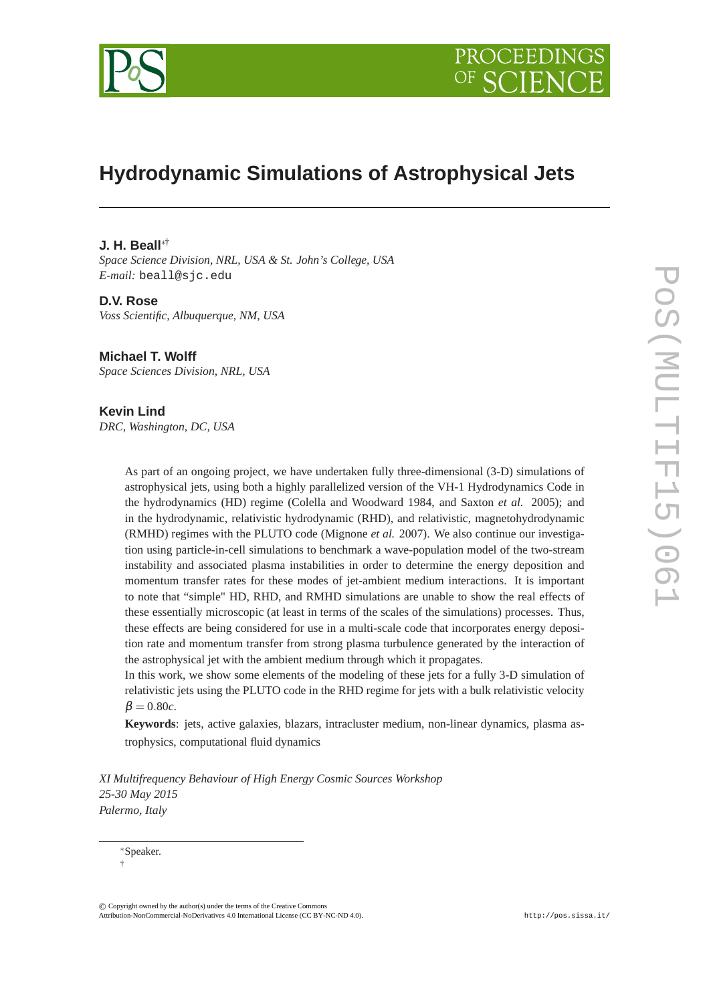



# **Hydrodynamic Simulations of Astrophysical Jets**

# **J. H. Beall**∗†

*Space Science Division, NRL, USA & St. John's College, USA E-mail:* beall@sjc.edu

### **D.V. Rose**

*Voss Scientific, Albuquerque, NM, USA*

# **Michael T. Wolff**

*Space Sciences Division, NRL, USA*

# **Kevin Lind**

*DRC, Washington, DC, USA*

As part of an ongoing project, we have undertaken fully three-dimensional (3-D) simulations of astrophysical jets, using both a highly parallelized version of the VH-1 Hydrodynamics Code in the hydrodynamics (HD) regime (Colella and Woodward 1984, and Saxton *et al.* 2005); and in the hydrodynamic, relativistic hydrodynamic (RHD), and relativistic, magnetohydrodynamic (RMHD) regimes with the PLUTO code (Mignone *et al.* 2007). We also continue our investigation using particle-in-cell simulations to benchmark a wave-population model of the two-stream instability and associated plasma instabilities in order to determine the energy deposition and momentum transfer rates for these modes of jet-ambient medium interactions. It is important to note that "simple" HD, RHD, and RMHD simulations are unable to show the real effects of these essentially microscopic (at least in terms of the scales of the simulations) processes. Thus, these effects are being considered for use in a multi-scale code that incorporates energy deposition rate and momentum transfer from strong plasma turbulence generated by the interaction of the astrophysical jet with the ambient medium through which it propagates.

In this work, we show some elements of the modeling of these jets for a fully 3-D simulation of relativistic jets using the PLUTO code in the RHD regime for jets with a bulk relativistic velocity  $\beta = 0.80c$ .

**Keywords**: jets, active galaxies, blazars, intracluster medium, non-linear dynamics, plasma astrophysics, computational fluid dynamics

*XI Multifrequency Behaviour of High Energy Cosmic Sources Workshop 25-30 May 2015 Palermo, Italy*

© c Copyright owned by the author(s) under the terms of the Creative Commons Copyright owned by the author(s) under the terms of the Creative Commons Attribution-NonCommercial-ShareAlike Licence. http://pos.sissa.it/ Attribution-NonCommercial-NoDerivatives 4.0 International License (CC BY-NC-ND 4.0).

<sup>∗</sup>Speaker. †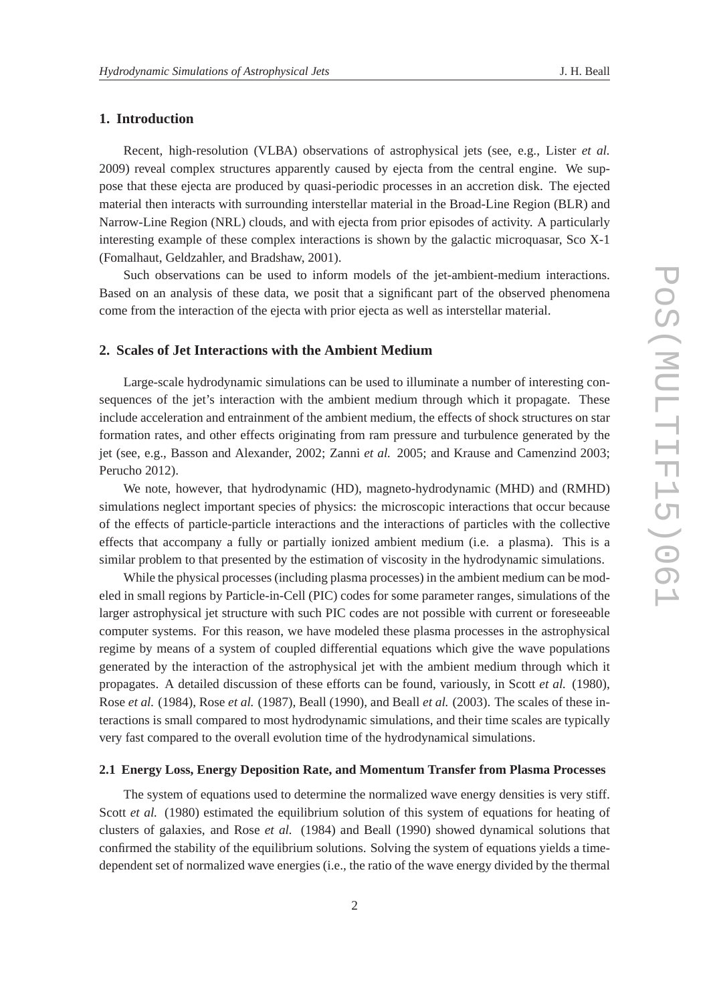# **1. Introduction**

Recent, high-resolution (VLBA) observations of astrophysical jets (see, e.g., Lister *et al.* 2009) reveal complex structures apparently caused by ejecta from the central engine. We suppose that these ejecta are produced by quasi-periodic processes in an accretion disk. The ejected material then interacts with surrounding interstellar material in the Broad-Line Region (BLR) and Narrow-Line Region (NRL) clouds, and with ejecta from prior episodes of activity. A particularly interesting example of these complex interactions is shown by the galactic microquasar, Sco X-1 (Fomalhaut, Geldzahler, and Bradshaw, 2001).

Such observations can be used to inform models of the jet-ambient-medium interactions. Based on an analysis of these data, we posit that a significant part of the observed phenomena come from the interaction of the ejecta with prior ejecta as well as interstellar material.

# **2. Scales of Jet Interactions with the Ambient Medium**

Large-scale hydrodynamic simulations can be used to illuminate a number of interesting consequences of the jet's interaction with the ambient medium through which it propagate. These include acceleration and entrainment of the ambient medium, the effects of shock structures on star formation rates, and other effects originating from ram pressure and turbulence generated by the jet (see, e.g., Basson and Alexander, 2002; Zanni *et al.* 2005; and Krause and Camenzind 2003; Perucho 2012).

We note, however, that hydrodynamic (HD), magneto-hydrodynamic (MHD) and (RMHD) simulations neglect important species of physics: the microscopic interactions that occur because of the effects of particle-particle interactions and the interactions of particles with the collective effects that accompany a fully or partially ionized ambient medium (i.e. a plasma). This is a similar problem to that presented by the estimation of viscosity in the hydrodynamic simulations.

While the physical processes (including plasma processes) in the ambient medium can be modeled in small regions by Particle-in-Cell (PIC) codes for some parameter ranges, simulations of the larger astrophysical jet structure with such PIC codes are not possible with current or foreseeable computer systems. For this reason, we have modeled these plasma processes in the astrophysical regime by means of a system of coupled differential equations which give the wave populations generated by the interaction of the astrophysical jet with the ambient medium through which it propagates. A detailed discussion of these efforts can be found, variously, in Scott *et al.* (1980), Rose *et al.* (1984), Rose *et al.* (1987), Beall (1990), and Beall *et al.* (2003). The scales of these interactions is small compared to most hydrodynamic simulations, and their time scales are typically very fast compared to the overall evolution time of the hydrodynamical simulations.

#### **2.1 Energy Loss, Energy Deposition Rate, and Momentum Transfer from Plasma Processes**

The system of equations used to determine the normalized wave energy densities is very stiff. Scott *et al.* (1980) estimated the equilibrium solution of this system of equations for heating of clusters of galaxies, and Rose *et al.* (1984) and Beall (1990) showed dynamical solutions that confirmed the stability of the equilibrium solutions. Solving the system of equations yields a timedependent set of normalized wave energies (i.e., the ratio of the wave energy divided by the thermal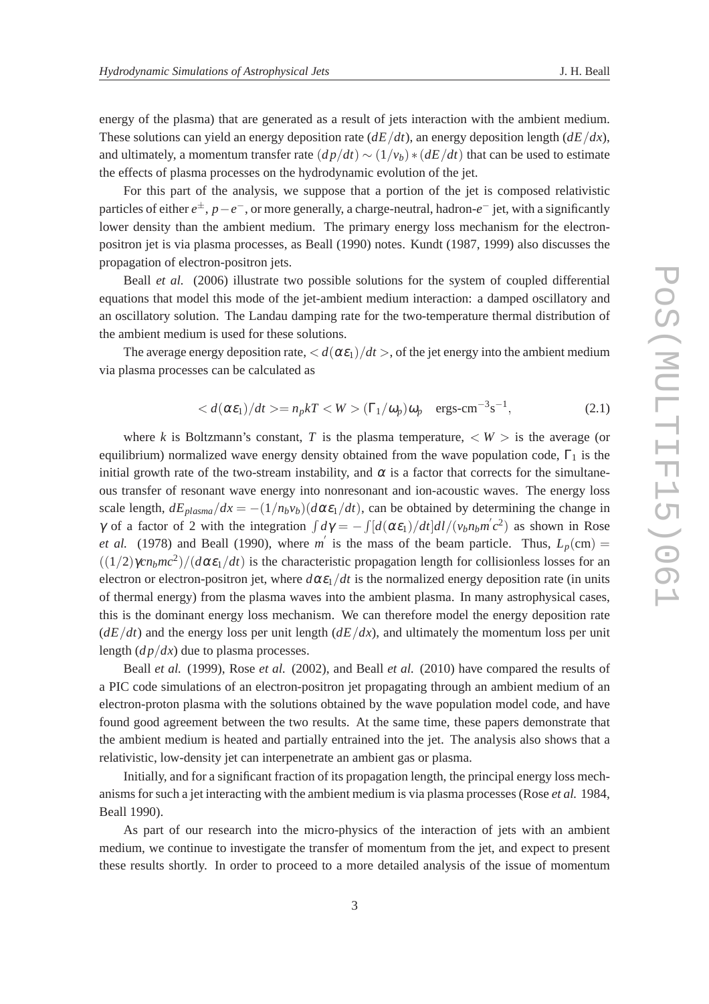energy of the plasma) that are generated as a result of jets interaction with the ambient medium. These solutions can yield an energy deposition rate  $(dE/dt)$ , an energy deposition length  $(dE/dx)$ , and ultimately, a momentum transfer rate  $(dp/dt) \sim (1/v_b) * (dE/dt)$  that can be used to estimate the effects of plasma processes on the hydrodynamic evolution of the jet.

For this part of the analysis, we suppose that a portion of the jet is composed relativistic particles of either *e* <sup>±</sup>, *p*−*e* <sup>−</sup>, or more generally, a charge-neutral, hadron-*e* <sup>−</sup> jet, with a significantly lower density than the ambient medium. The primary energy loss mechanism for the electronpositron jet is via plasma processes, as Beall (1990) notes. Kundt (1987, 1999) also discusses the propagation of electron-positron jets.

Beall *et al.* (2006) illustrate two possible solutions for the system of coupled differential equations that model this mode of the jet-ambient medium interaction: a damped oscillatory and an oscillatory solution. The Landau damping rate for the two-temperature thermal distribution of the ambient medium is used for these solutions.

The average energy deposition rate,  $\langle d(\alpha \varepsilon_1)/dt \rangle$ , of the jet energy into the ambient medium via plasma processes can be calculated as

$$
\langle d(\alpha \varepsilon_1)/dt \rangle = n_p kT \langle W \rangle (\Gamma_1/\omega_p) \omega_p \text{ ergs-cm}^{-3} \text{s}^{-1}, \tag{2.1}
$$

where *k* is Boltzmann's constant, *T* is the plasma temperature,  $\langle W \rangle$  is the average (or equilibrium) normalized wave energy density obtained from the wave population code,  $\Gamma_1$  is the initial growth rate of the two-stream instability, and  $\alpha$  is a factor that corrects for the simultaneous transfer of resonant wave energy into nonresonant and ion-acoustic waves. The energy loss scale length,  $dE_{plasma}/dx = -(1/n_b v_b)(d\alpha \varepsilon_1/dt)$ , can be obtained by determining the change in *γ* of a factor of 2 with the integration  $\int d\gamma = -\int [d(\alpha \varepsilon_1)/dt] dI/(v_b n_b m' c^2)$  as shown in Rose *et al.* (1978) and Beall (1990), where *m*<sup> $\prime$ </sup> is the mass of the beam particle. Thus,  $L_p$ (cm) =  $((1/2)\gamma cn_bmc^2)/(d\alpha \varepsilon_1/dt)$  is the characteristic propagation length for collisionless losses for an electron or electron-positron jet, where  $d\alpha \varepsilon_1/dt$  is the normalized energy deposition rate (in units of thermal energy) from the plasma waves into the ambient plasma. In many astrophysical cases, this is the dominant energy loss mechanism. We can therefore model the energy deposition rate  $(dE/dt)$  and the energy loss per unit length  $(dE/dx)$ , and ultimately the momentum loss per unit length (*d p*/*dx*) due to plasma processes.

Beall *et al.* (1999), Rose *et al.* (2002), and Beall *et al.* (2010) have compared the results of a PIC code simulations of an electron-positron jet propagating through an ambient medium of an electron-proton plasma with the solutions obtained by the wave population model code, and have found good agreement between the two results. At the same time, these papers demonstrate that the ambient medium is heated and partially entrained into the jet. The analysis also shows that a relativistic, low-density jet can interpenetrate an ambient gas or plasma.

Initially, and for a significant fraction of its propagation length, the principal energy loss mechanisms for such a jet interacting with the ambient medium is via plasma processes (Rose *et al.* 1984, Beall 1990).

As part of our research into the micro-physics of the interaction of jets with an ambient medium, we continue to investigate the transfer of momentum from the jet, and expect to present these results shortly. In order to proceed to a more detailed analysis of the issue of momentum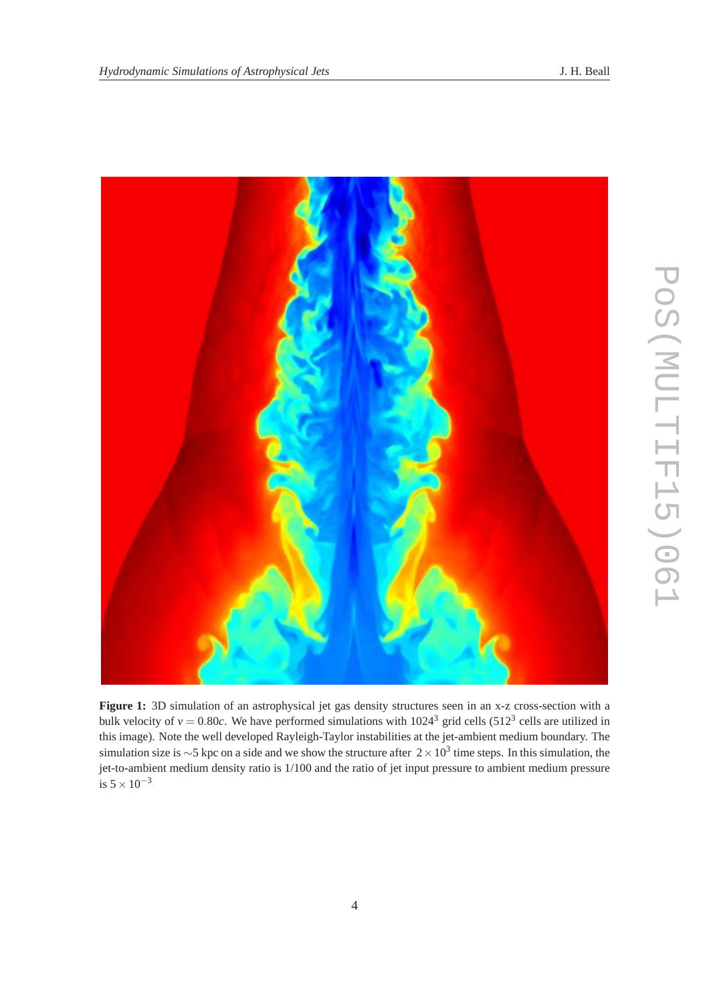

**Figure 1:** 3D simulation of an astrophysical jet gas density structures seen in an x-z cross-section with a bulk velocity of  $v = 0.80c$ . We have performed simulations with  $1024<sup>3</sup>$  grid cells (512<sup>3</sup> cells are utilized in this image). Note the well developed Rayleigh-Taylor instabilities at the jet-ambient medium boundary. The simulation size is ~5 kpc on a side and we show the structure after  $2 \times 10^3$  time steps. In this simulation, the jet-to-ambient medium density ratio is 1/100 and the ratio of jet input pressure to ambient medium pressure is  $5 \times 10^{-3}$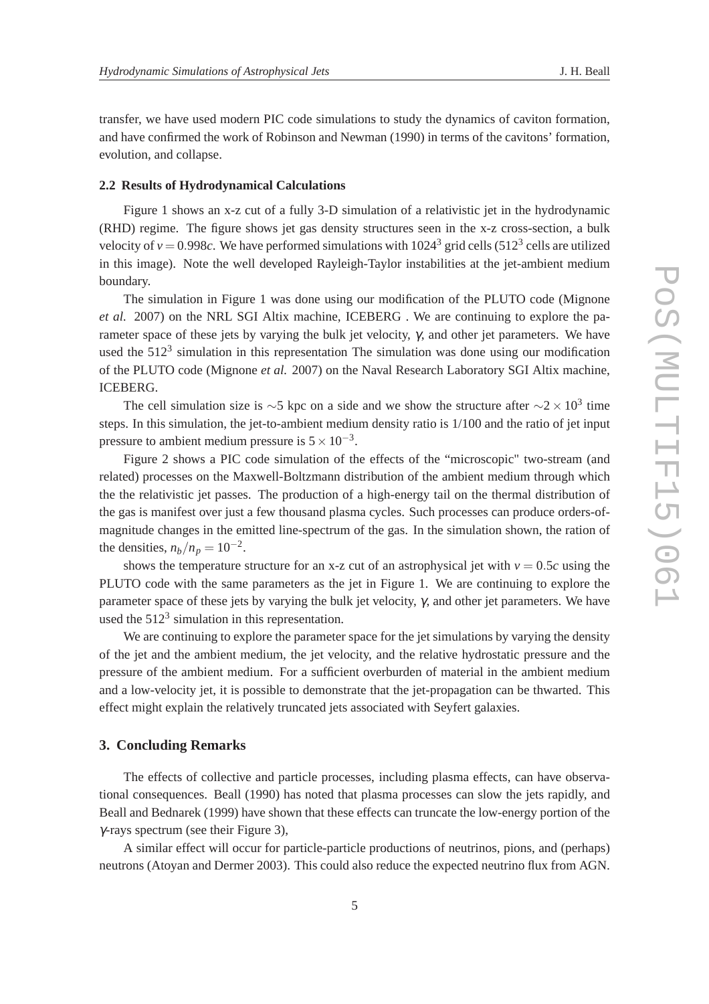transfer, we have used modern PIC code simulations to study the dynamics of caviton formation, and have confirmed the work of Robinson and Newman (1990) in terms of the cavitons' formation, evolution, and collapse.

#### **2.2 Results of Hydrodynamical Calculations**

Figure 1 shows an x-z cut of a fully 3-D simulation of a relativistic jet in the hydrodynamic (RHD) regime. The figure shows jet gas density structures seen in the x-z cross-section, a bulk velocity of  $v = 0.998c$ . We have performed simulations with  $1024<sup>3</sup>$  grid cells (512<sup>3</sup> cells are utilized in this image). Note the well developed Rayleigh-Taylor instabilities at the jet-ambient medium boundary.

The simulation in Figure 1 was done using our modification of the PLUTO code (Mignone *et al.* 2007) on the NRL SGI Altix machine, ICEBERG . We are continuing to explore the parameter space of these jets by varying the bulk jet velocity,  $\gamma$ , and other jet parameters. We have used the  $512<sup>3</sup>$  simulation in this representation The simulation was done using our modification of the PLUTO code (Mignone *et al.* 2007) on the Naval Research Laboratory SGI Altix machine, ICEBERG.

The cell simulation size is  $\sim$ 5 kpc on a side and we show the structure after  $\sim$ 2 × 10<sup>3</sup> time steps. In this simulation, the jet-to-ambient medium density ratio is 1/100 and the ratio of jet input pressure to ambient medium pressure is  $5 \times 10^{-3}$ .

Figure 2 shows a PIC code simulation of the effects of the "microscopic" two-stream (and related) processes on the Maxwell-Boltzmann distribution of the ambient medium through which the the relativistic jet passes. The production of a high-energy tail on the thermal distribution of the gas is manifest over just a few thousand plasma cycles. Such processes can produce orders-ofmagnitude changes in the emitted line-spectrum of the gas. In the simulation shown, the ration of the densities,  $n_b/n_p = 10^{-2}$ .

shows the temperature structure for an x-z cut of an astrophysical jet with  $v = 0.5c$  using the PLUTO code with the same parameters as the jet in Figure 1. We are continuing to explore the parameter space of these jets by varying the bulk jet velocity,  $\gamma$ , and other jet parameters. We have used the  $512<sup>3</sup>$  simulation in this representation.

We are continuing to explore the parameter space for the jet simulations by varying the density of the jet and the ambient medium, the jet velocity, and the relative hydrostatic pressure and the pressure of the ambient medium. For a sufficient overburden of material in the ambient medium and a low-velocity jet, it is possible to demonstrate that the jet-propagation can be thwarted. This effect might explain the relatively truncated jets associated with Seyfert galaxies.

### **3. Concluding Remarks**

The effects of collective and particle processes, including plasma effects, can have observational consequences. Beall (1990) has noted that plasma processes can slow the jets rapidly, and Beall and Bednarek (1999) have shown that these effects can truncate the low-energy portion of the γ-rays spectrum (see their Figure 3),

A similar effect will occur for particle-particle productions of neutrinos, pions, and (perhaps) neutrons (Atoyan and Dermer 2003). This could also reduce the expected neutrino flux from AGN.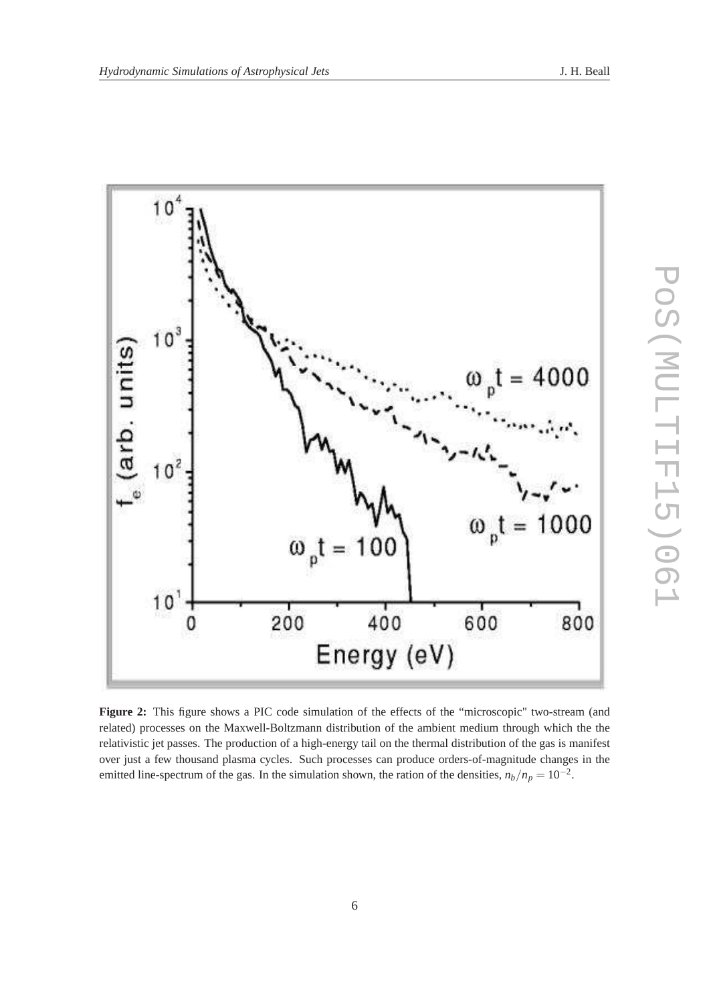

**Figure 2:** This figure shows a PIC code simulation of the effects of the "microscopic" two-stream (and related) processes on the Maxwell-Boltzmann distribution of the ambient medium through which the the relativistic jet passes. The production of a high-energy tail on the thermal distribution of the gas is manifest over just a few thousand plasma cycles. Such processes can produce orders-of-magnitude changes in the emitted line-spectrum of the gas. In the simulation shown, the ration of the densities,  $n_b/n_p = 10^{-2}$ .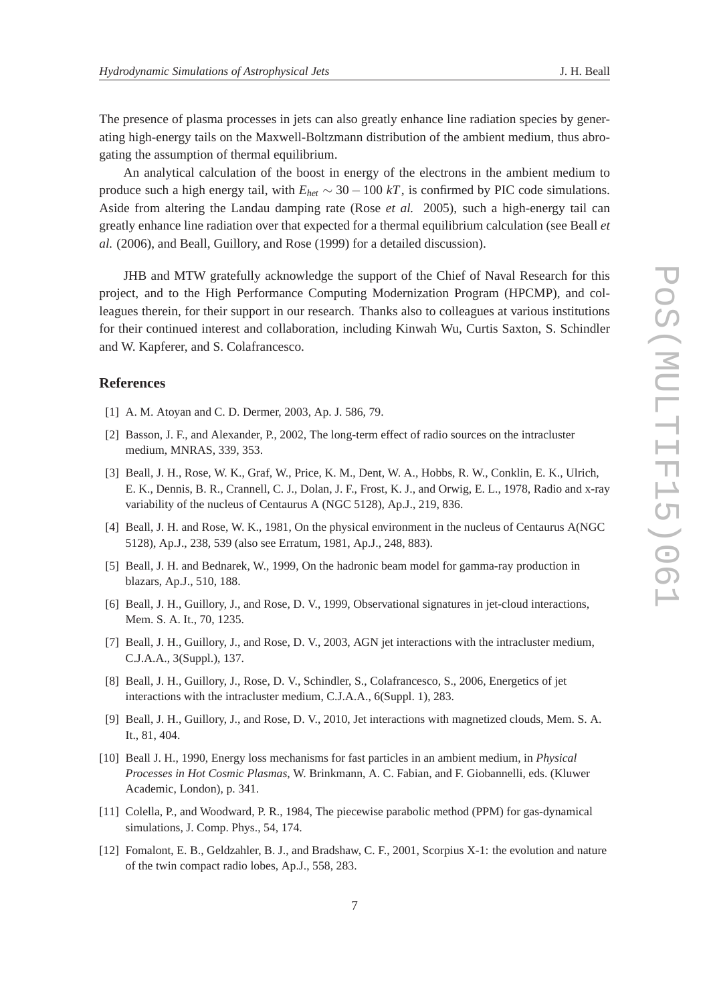The presence of plasma processes in jets can also greatly enhance line radiation species by generating high-energy tails on the Maxwell-Boltzmann distribution of the ambient medium, thus abrogating the assumption of thermal equilibrium.

An analytical calculation of the boost in energy of the electrons in the ambient medium to produce such a high energy tail, with  $E_{het} \sim 30 - 100 kT$ , is confirmed by PIC code simulations. Aside from altering the Landau damping rate (Rose *et al.* 2005), such a high-energy tail can greatly enhance line radiation over that expected for a thermal equilibrium calculation (see Beall *et al.* (2006), and Beall, Guillory, and Rose (1999) for a detailed discussion).

JHB and MTW gratefully acknowledge the support of the Chief of Naval Research for this project, and to the High Performance Computing Modernization Program (HPCMP), and colleagues therein, for their support in our research. Thanks also to colleagues at various institutions for their continued interest and collaboration, including Kinwah Wu, Curtis Saxton, S. Schindler and W. Kapferer, and S. Colafrancesco.

#### **References**

- [1] A. M. Atoyan and C. D. Dermer, 2003, Ap. J. 586, 79.
- [2] Basson, J. F., and Alexander, P., 2002, The long-term effect of radio sources on the intracluster medium, MNRAS, 339, 353.
- [3] Beall, J. H., Rose, W. K., Graf, W., Price, K. M., Dent, W. A., Hobbs, R. W., Conklin, E. K., Ulrich, E. K., Dennis, B. R., Crannell, C. J., Dolan, J. F., Frost, K. J., and Orwig, E. L., 1978, Radio and x-ray variability of the nucleus of Centaurus A (NGC 5128), Ap.J., 219, 836.
- [4] Beall, J. H. and Rose, W. K., 1981, On the physical environment in the nucleus of Centaurus A(NGC 5128), Ap.J., 238, 539 (also see Erratum, 1981, Ap.J., 248, 883).
- [5] Beall, J. H. and Bednarek, W., 1999, On the hadronic beam model for gamma-ray production in blazars, Ap.J., 510, 188.
- [6] Beall, J. H., Guillory, J., and Rose, D. V., 1999, Observational signatures in jet-cloud interactions, Mem. S. A. It., 70, 1235.
- [7] Beall, J. H., Guillory, J., and Rose, D. V., 2003, AGN jet interactions with the intracluster medium, C.J.A.A., 3(Suppl.), 137.
- [8] Beall, J. H., Guillory, J., Rose, D. V., Schindler, S., Colafrancesco, S., 2006, Energetics of jet interactions with the intracluster medium, C.J.A.A., 6(Suppl. 1), 283.
- [9] Beall, J. H., Guillory, J., and Rose, D. V., 2010, Jet interactions with magnetized clouds, Mem. S. A. It., 81, 404.
- [10] Beall J. H., 1990, Energy loss mechanisms for fast particles in an ambient medium, in *Physical Processes in Hot Cosmic Plasmas*, W. Brinkmann, A. C. Fabian, and F. Giobannelli, eds. (Kluwer Academic, London), p. 341.
- [11] Colella, P., and Woodward, P. R., 1984, The piecewise parabolic method (PPM) for gas-dynamical simulations, J. Comp. Phys., 54, 174.
- [12] Fomalont, E. B., Geldzahler, B. J., and Bradshaw, C. F., 2001, Scorpius X-1: the evolution and nature of the twin compact radio lobes, Ap.J., 558, 283.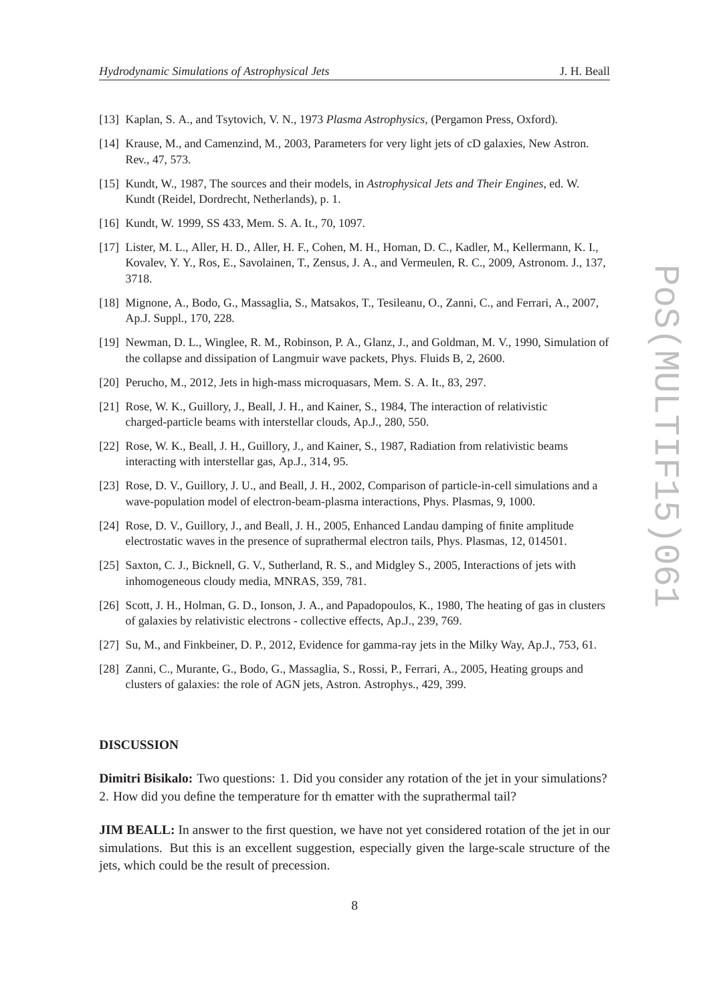- 
- [13] Kaplan, S. A., and Tsytovich, V. N., 1973 *Plasma Astrophysics*, (Pergamon Press, Oxford).
- [14] Krause, M., and Camenzind, M., 2003, Parameters for very light jets of cD galaxies, New Astron. Rev., 47, 573.
- [15] Kundt, W., 1987, The sources and their models, in *Astrophysical Jets and Their Engines*, ed. W. Kundt (Reidel, Dordrecht, Netherlands), p. 1.
- [16] Kundt, W. 1999, SS 433, Mem. S. A. It., 70, 1097.
- [17] Lister, M. L., Aller, H. D., Aller, H. F., Cohen, M. H., Homan, D. C., Kadler, M., Kellermann, K. I., Kovalev, Y. Y., Ros, E., Savolainen, T., Zensus, J. A., and Vermeulen, R. C., 2009, Astronom. J., 137, 3718.
- [18] Mignone, A., Bodo, G., Massaglia, S., Matsakos, T., Tesileanu, O., Zanni, C., and Ferrari, A., 2007, Ap.J. Suppl., 170, 228.
- [19] Newman, D. L., Winglee, R. M., Robinson, P. A., Glanz, J., and Goldman, M. V., 1990, Simulation of the collapse and dissipation of Langmuir wave packets, Phys. Fluids B, 2, 2600.
- [20] Perucho, M., 2012, Jets in high-mass microquasars, Mem. S. A. It., 83, 297.
- [21] Rose, W. K., Guillory, J., Beall, J. H., and Kainer, S., 1984, The interaction of relativistic charged-particle beams with interstellar clouds, Ap.J., 280, 550.
- [22] Rose, W. K., Beall, J. H., Guillory, J., and Kainer, S., 1987, Radiation from relativistic beams interacting with interstellar gas, Ap.J., 314, 95.
- [23] Rose, D. V., Guillory, J. U., and Beall, J. H., 2002, Comparison of particle-in-cell simulations and a wave-population model of electron-beam-plasma interactions, Phys. Plasmas, 9, 1000.
- [24] Rose, D. V., Guillory, J., and Beall, J. H., 2005, Enhanced Landau damping of finite amplitude electrostatic waves in the presence of suprathermal electron tails, Phys. Plasmas, 12, 014501.
- [25] Saxton, C. J., Bicknell, G. V., Sutherland, R. S., and Midgley S., 2005, Interactions of jets with inhomogeneous cloudy media, MNRAS, 359, 781.
- [26] Scott, J. H., Holman, G. D., Ionson, J. A., and Papadopoulos, K., 1980, The heating of gas in clusters of galaxies by relativistic electrons - collective effects, Ap.J., 239, 769.
- [27] Su, M., and Finkbeiner, D. P., 2012, Evidence for gamma-ray jets in the Milky Way, Ap.J., 753, 61.
- [28] Zanni, C., Murante, G., Bodo, G., Massaglia, S., Rossi, P., Ferrari, A., 2005, Heating groups and clusters of galaxies: the role of AGN jets, Astron. Astrophys., 429, 399.

#### **DISCUSSION**

**Dimitri Bisikalo:** Two questions: 1. Did you consider any rotation of the jet in your simulations? 2. How did you define the temperature for th ematter with the suprathermal tail?

**JIM BEALL:** In answer to the first question, we have not yet considered rotation of the jet in our simulations. But this is an excellent suggestion, especially given the large-scale structure of the jets, which could be the result of precession.